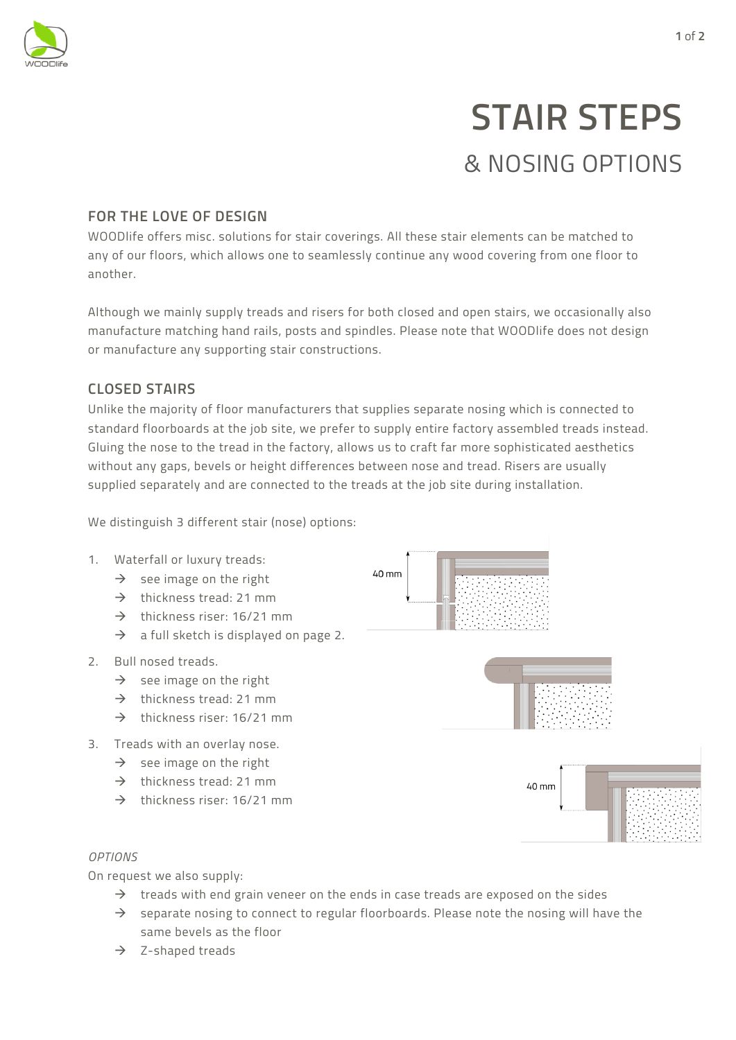

# **STAIR STEPS** & NOSING OPTIONS

## **FOR THE LOVE OF DESIGN**

WOODlife offers misc. solutions for stair coverings. All these stair elements can be matched to any of our floors, which allows one to seamlessly continue any wood covering from one floor to another.

Although we mainly supply treads and risers for both closed and open stairs, we occasionally also manufacture matching hand rails, posts and spindles. Please note that WOODlife does not design or manufacture any supporting stair constructions.

## **CLOSED STAIRS**

Unlike the majority of floor manufacturers that supplies separate nosing which is connected to standard floorboards at the job site, we prefer to supply entire factory assembled treads instead. Gluing the nose to the tread in the factory, allows us to craft far more sophisticated aesthetics without any gaps, bevels or height differences between nose and tread. Risers are usually supplied separately and are connected to the treads at the job site during installation.

We distinguish 3 different stair (nose) options:

#### 1. Waterfall or luxury treads:

- $\rightarrow$  see image on the right
- $\rightarrow$  thickness tread: 21 mm
- $\rightarrow$  thickness riser: 16/21 mm
- $\rightarrow$  a full sketch is displayed on page 2.
- 2. Bull nosed treads.
	- $\rightarrow$  see image on the right
	- $\rightarrow$  thickness tread: 21 mm
	- $\rightarrow$  thickness riser: 16/21 mm
- 3. Treads with an overlay nose.
	- $\rightarrow$  see image on the right
	- $\rightarrow$  thickness tread: 21 mm
	- $\rightarrow$  thickness riser: 16/21 mm





#### *OPTIONS*

On request we also supply:

- $\rightarrow$  treads with end grain veneer on the ends in case treads are exposed on the sides
- $\rightarrow$  separate nosing to connect to regular floorboards. Please note the nosing will have the same bevels as the floor
- $\rightarrow$  Z-shaped treads